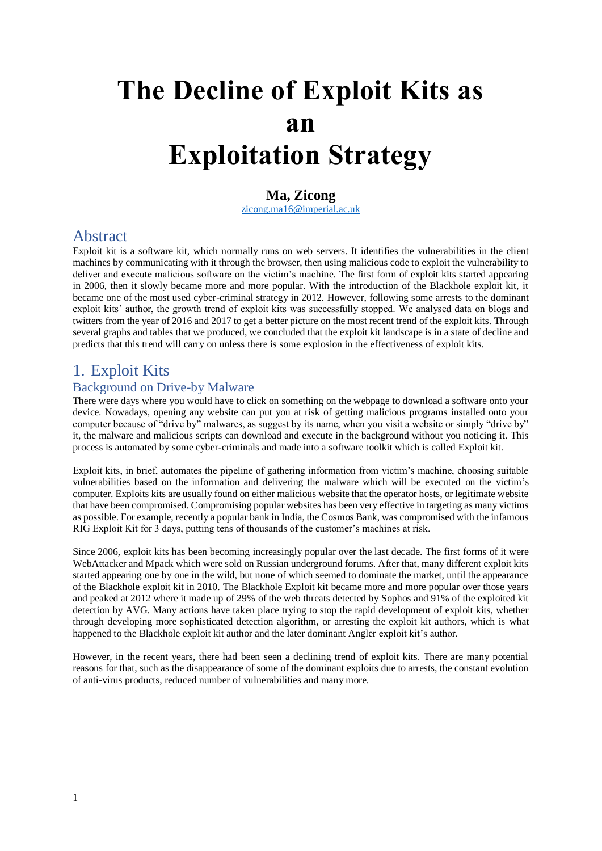# **The Decline of Exploit Kits as an Exploitation Strategy**

# **Ma, Zicong**

[zicong.ma16@imperial.ac.uk](mailto:zicong.ma16@imperial.ac.uk)

# Abstract

Exploit kit is a software kit, which normally runs on web servers. It identifies the vulnerabilities in the client machines by communicating with it through the browser, then using malicious code to exploit the vulnerability to deliver and execute malicious software on the victim's machine. The first form of exploit kits started appearing in 2006, then it slowly became more and more popular. With the introduction of the Blackhole exploit kit, it became one of the most used cyber-criminal strategy in 2012. However, following some arrests to the dominant exploit kits' author, the growth trend of exploit kits was successfully stopped. We analysed data on blogs and twitters from the year of 2016 and 2017 to get a better picture on the most recent trend of the exploit kits. Through several graphs and tables that we produced, we concluded that the exploit kit landscape is in a state of decline and predicts that this trend will carry on unless there is some explosion in the effectiveness of exploit kits.

# 1. Exploit Kits

# Background on Drive-by Malware

There were days where you would have to click on something on the webpage to download a software onto your device. Nowadays, opening any website can put you at risk of getting malicious programs installed onto your computer because of "drive by" malwares, as suggest by its name, when you visit a website or simply "drive by" it, the malware and malicious scripts can download and execute in the background without you noticing it. This process is automated by some cyber-criminals and made into a software toolkit which is called Exploit kit.

Exploit kits, in brief, automates the pipeline of gathering information from victim's machine, choosing suitable vulnerabilities based on the information and delivering the malware which will be executed on the victim's computer. Exploits kits are usually found on either malicious website that the operator hosts, or legitimate website that have been compromised. Compromising popular websites has been very effective in targeting as many victims as possible. For example, recently a popular bank in India, the Cosmos Bank, was compromised with the infamous RIG Exploit Kit for 3 days, putting tens of thousands of the customer's machines at risk.

Since 2006, exploit kits has been becoming increasingly popular over the last decade. The first forms of it were WebAttacker and Mpack which were sold on Russian underground forums. After that, many different exploit kits started appearing one by one in the wild, but none of which seemed to dominate the market, until the appearance of the Blackhole exploit kit in 2010. The Blackhole Exploit kit became more and more popular over those years and peaked at 2012 where it made up of 29% of the web threats detected by Sophos and 91% of the exploited kit detection by AVG. Many actions have taken place trying to stop the rapid development of exploit kits, whether through developing more sophisticated detection algorithm, or arresting the exploit kit authors, which is what happened to the Blackhole exploit kit author and the later dominant Angler exploit kit's author.

However, in the recent years, there had been seen a declining trend of exploit kits. There are many potential reasons for that, such as the disappearance of some of the dominant exploits due to arrests, the constant evolution of anti-virus products, reduced number of vulnerabilities and many more.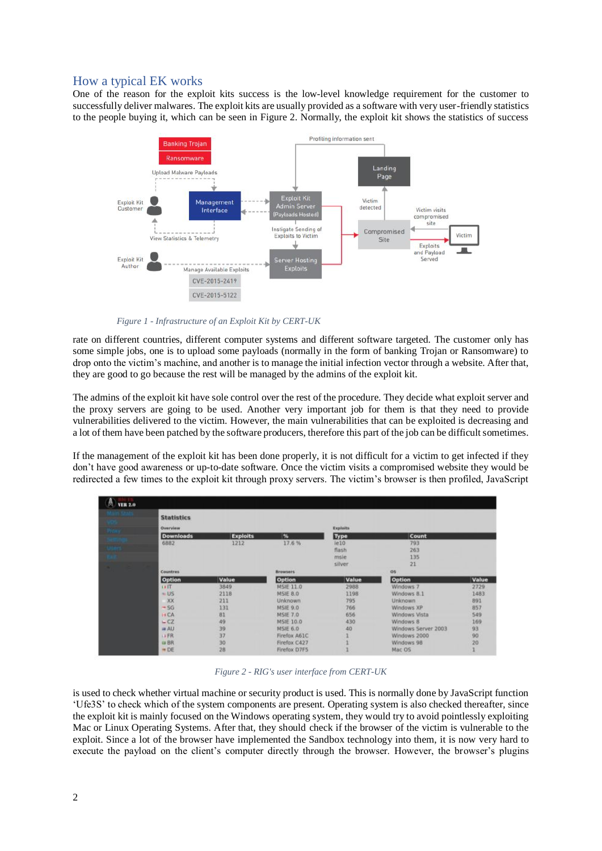# How a typical EK works

One of the reason for the exploit kits success is the low-level knowledge requirement for the customer to successfully deliver malwares. The exploit kits are usually provided as a software with very user-friendly statistics to the people buying it, which can be seen in Figure 2. Normally, the exploit kit shows the statistics of success



*Figure 1 - Infrastructure of an Exploit Kit by CERT-UK*

rate on different countries, different computer systems and different software targeted. The customer only has some simple jobs, one is to upload some payloads (normally in the form of banking Trojan or Ransomware) to drop onto the victim's machine, and another is to manage the initial infection vector through a website. After that, they are good to go because the rest will be managed by the admins of the exploit kit.

The admins of the exploit kit have sole control over the rest of the procedure. They decide what exploit server and the proxy servers are going to be used. Another very important job for them is that they need to provide vulnerabilities delivered to the victim. However, the main vulnerabilities that can be exploited is decreasing and a lot of them have been patched by the software producers, therefore this part of the job can be difficult sometimes.

If the management of the exploit kit has been done properly, it is not difficult for a victim to get infected if they don't have good awareness or up-to-date software. Once the victim visits a compromised website they would be redirected a few times to the exploit kit through proxy servers. The victim's browser is then profiled, JavaScript



*Figure 2 - RIG's user interface from CERT-UK*

is used to check whether virtual machine or security product is used. This is normally done by JavaScript function 'Ufe3S' to check which of the system components are present. Operating system is also checked thereafter, since the exploit kit is mainly focused on the Windows operating system, they would try to avoid pointlessly exploiting Mac or Linux Operating Systems. After that, they should check if the browser of the victim is vulnerable to the exploit. Since a lot of the browser have implemented the Sandbox technology into them, it is now very hard to execute the payload on the client's computer directly through the browser. However, the browser's plugins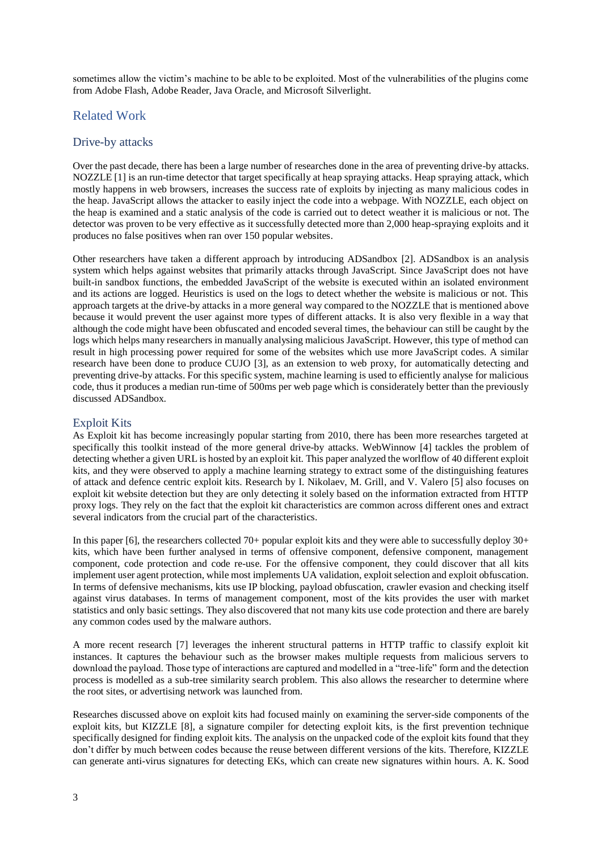sometimes allow the victim's machine to be able to be exploited. Most of the vulnerabilities of the plugins come from Adobe Flash, Adobe Reader, Java Oracle, and Microsoft Silverlight.

# Related Work

#### Drive-by attacks

Over the past decade, there has been a large number of researches done in the area of preventing drive-by attacks. NOZZLE [1] is an run-time detector that target specifically at heap spraying attacks. Heap spraying attack, which mostly happens in web browsers, increases the success rate of exploits by injecting as many malicious codes in the heap. JavaScript allows the attacker to easily inject the code into a webpage. With NOZZLE, each object on the heap is examined and a static analysis of the code is carried out to detect weather it is malicious or not. The detector was proven to be very effective as it successfully detected more than 2,000 heap-spraying exploits and it produces no false positives when ran over 150 popular websites.

Other researchers have taken a different approach by introducing ADSandbox [2]. ADSandbox is an analysis system which helps against websites that primarily attacks through JavaScript. Since JavaScript does not have built-in sandbox functions, the embedded JavaScript of the website is executed within an isolated environment and its actions are logged. Heuristics is used on the logs to detect whether the website is malicious or not. This approach targets at the drive-by attacks in a more general way compared to the NOZZLE that is mentioned above because it would prevent the user against more types of different attacks. It is also very flexible in a way that although the code might have been obfuscated and encoded several times, the behaviour can still be caught by the logs which helps many researchers in manually analysing malicious JavaScript. However, this type of method can result in high processing power required for some of the websites which use more JavaScript codes. A similar research have been done to produce CUJO [3], as an extension to web proxy, for automatically detecting and preventing drive-by attacks. For this specific system, machine learning is used to efficiently analyse for malicious code, thus it produces a median run-time of 500ms per web page which is considerately better than the previously discussed ADSandbox.

#### Exploit Kits

As Exploit kit has become increasingly popular starting from 2010, there has been more researches targeted at specifically this toolkit instead of the more general drive-by attacks. WebWinnow [4] tackles the problem of detecting whether a given URL is hosted by an exploit kit. This paper analyzed the worlflow of 40 different exploit kits, and they were observed to apply a machine learning strategy to extract some of the distinguishing features of attack and defence centric exploit kits. Research by I. Nikolaev, M. Grill, and V. Valero [5] also focuses on exploit kit website detection but they are only detecting it solely based on the information extracted from HTTP proxy logs. They rely on the fact that the exploit kit characteristics are common across different ones and extract several indicators from the crucial part of the characteristics.

In this paper [6], the researchers collected 70+ popular exploit kits and they were able to successfully deploy 30+ kits, which have been further analysed in terms of offensive component, defensive component, management component, code protection and code re-use. For the offensive component, they could discover that all kits implement user agent protection, while most implements UA validation, exploit selection and exploit obfuscation. In terms of defensive mechanisms, kits use IP blocking, payload obfuscation, crawler evasion and checking itself against virus databases. In terms of management component, most of the kits provides the user with market statistics and only basic settings. They also discovered that not many kits use code protection and there are barely any common codes used by the malware authors.

A more recent research [7] leverages the inherent structural patterns in HTTP traffic to classify exploit kit instances. It captures the behaviour such as the browser makes multiple requests from malicious servers to download the payload. Those type of interactions are captured and modelled in a "tree-life" form and the detection process is modelled as a sub-tree similarity search problem. This also allows the researcher to determine where the root sites, or advertising network was launched from.

Researches discussed above on exploit kits had focused mainly on examining the server-side components of the exploit kits, but KIZZLE [8], a signature compiler for detecting exploit kits, is the first prevention technique specifically designed for finding exploit kits. The analysis on the unpacked code of the exploit kits found that they don't differ by much between codes because the reuse between different versions of the kits. Therefore, KIZZLE can generate anti-virus signatures for detecting EKs, which can create new signatures within hours. A. K. Sood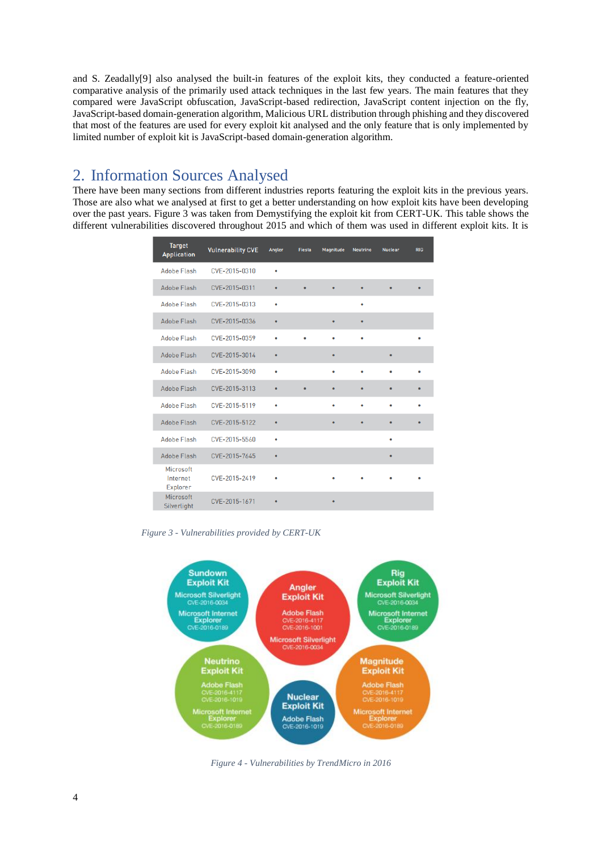and S. Zeadally[9] also analysed the built-in features of the exploit kits, they conducted a feature-oriented comparative analysis of the primarily used attack techniques in the last few years. The main features that they compared were JavaScript obfuscation, JavaScript-based redirection, JavaScript content injection on the fly, JavaScript-based domain-generation algorithm, Malicious URL distribution through phishing and they discovered that most of the features are used for every exploit kit analysed and the only feature that is only implemented by limited number of exploit kit is JavaScript-based domain-generation algorithm.

# 2. Information Sources Analysed

There have been many sections from different industries reports featuring the exploit kits in the previous years. Those are also what we analysed at first to get a better understanding on how exploit kits have been developing over the past years. Figure 3 was taken from Demystifying the exploit kit from CERT-UK. This table shows the different vulnerabilities discovered throughout 2015 and which of them was used in different exploit kits. It is

| <b>Target</b><br><b>Application</b> | <b>Vulnerability CVE</b> | Angler | <b>Fiesta</b> | Magnitude | <b>Neutrino</b> | <b>Nuclear</b> | <b>RIG</b> |
|-------------------------------------|--------------------------|--------|---------------|-----------|-----------------|----------------|------------|
| <b>Adobe Flash</b>                  | CVF-2015-0310            | ٠      |               |           |                 |                |            |
| Adobe Flash                         | CVE-2015-0311            | ۰      | $\bullet$     | ۰         | ٠               | ٠              |            |
| Adobe Flash                         | CVF-2015-0313            | ٠      |               |           | ٠               |                |            |
| <b>Adobe Flash</b>                  | CVE-2015-0336            | ٠      |               | ٠         | $\bullet$       |                |            |
| Adobe Flash                         | CVE-2015-0359            |        |               | ٠         | ٠               |                |            |
| Adobe Flash                         | CVE-2015-3014            | ٠      |               | ۰         |                 | $\bullet$      |            |
| <b>Adobe Flash</b>                  | CVE-2015-3090            | ٠      |               | ٠         | ٠               | ٠              |            |
| <b>Adobe Flash</b>                  | CVE-2015-3113            | ۰      |               | ۰         | ٠               | $\bullet$      |            |
| <b>Adobe Flash</b>                  | CVE-2015-5119            | ٠      |               | ٠         |                 | ٠              |            |
| Adobe Flash                         | CVE-2015-5122            | ٠      |               | ۰         | ٠               | ٠              |            |
| <b>Adobe Flash</b>                  | CVE-2015-5560            | ٠      |               |           |                 | ٠              |            |
| <b>Adobe Flash</b>                  | CVE-2015-7645            |        |               |           |                 | ٠              |            |
| Microsoft<br>Internet<br>Explorer   | CVE-2015-2419            |        |               |           |                 |                |            |
| Microsoft<br>Silverlight            | CVE-2015-1671            | ٠      |               | ٠         |                 |                |            |

*Figure 3 - Vulnerabilities provided by CERT-UK*



*Figure 4 - Vulnerabilities by TrendMicro in 2016*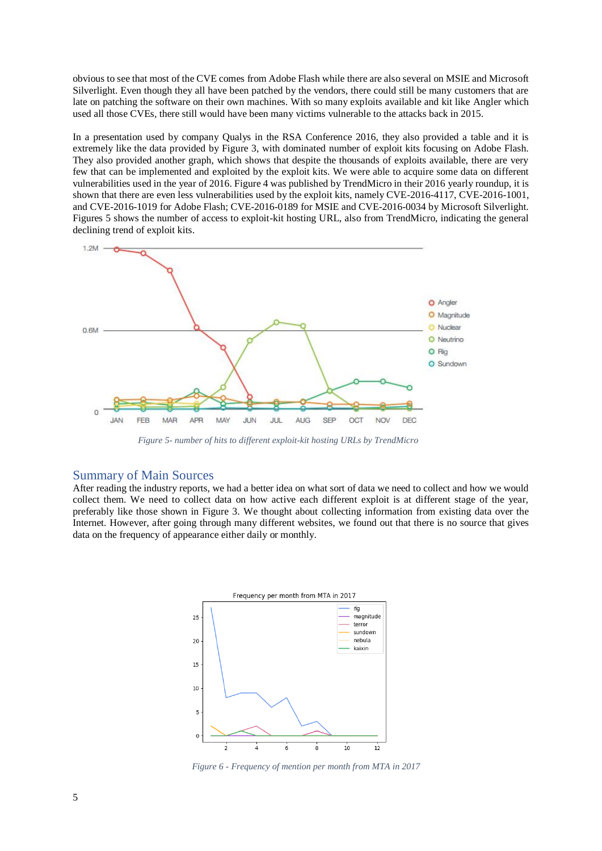obvious to see that most of the CVE comes from Adobe Flash while there are also several on MSIE and Microsoft Silverlight. Even though they all have been patched by the vendors, there could still be many customers that are late on patching the software on their own machines. With so many exploits available and kit like Angler which used all those CVEs, there still would have been many victims vulnerable to the attacks back in 2015.

In a presentation used by company Qualys in the RSA Conference 2016, they also provided a table and it is extremely like the data provided by Figure 3, with dominated number of exploit kits focusing on Adobe Flash. They also provided another graph, which shows that despite the thousands of exploits available, there are very few that can be implemented and exploited by the exploit kits. We were able to acquire some data on different vulnerabilities used in the year of 2016. Figure 4 was published by TrendMicro in their 2016 yearly roundup, it is shown that there are even less vulnerabilities used by the exploit kits, namely CVE-2016-4117, CVE-2016-1001, and CVE-2016-1019 for Adobe Flash; CVE-2016-0189 for MSIE and CVE-2016-0034 by Microsoft Silverlight. Figures 5 shows the number of access to exploit-kit hosting URL, also from TrendMicro, indicating the general declining trend of exploit kits.



*Figure 5- number of hits to different exploit-kit hosting URLs by TrendMicro*

#### Summary of Main Sources

After reading the industry reports, we had a better idea on what sort of data we need to collect and how we would collect them. We need to collect data on how active each different exploit is at different stage of the year, preferably like those shown in Figure 3. We thought about collecting information from existing data over the Internet. However, after going through many different websites, we found out that there is no source that gives data on the frequency of appearance either daily or monthly.



*Figure 6 - Frequency of mention per month from MTA in 2017*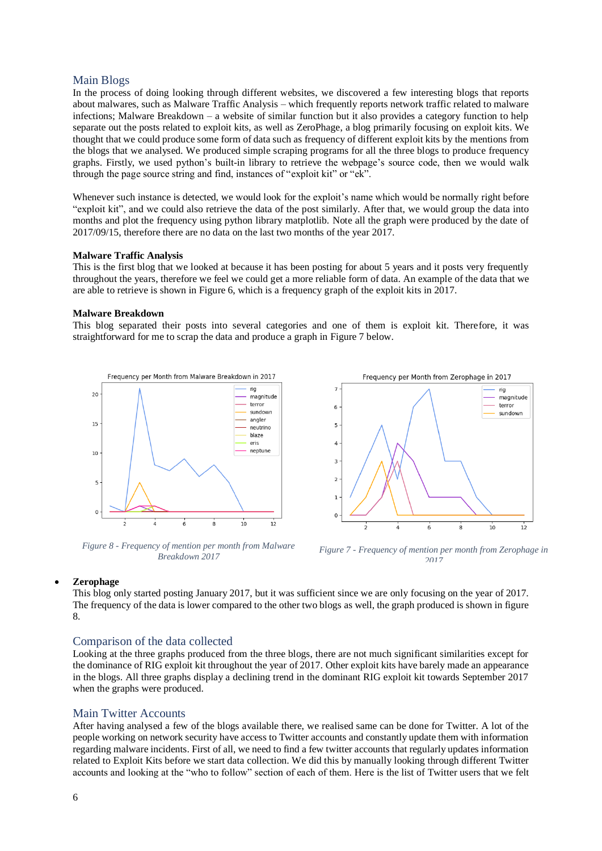## Main Blogs

In the process of doing looking through different websites, we discovered a few interesting blogs that reports about malwares, such as Malware Traffic Analysis – which frequently reports network traffic related to malware infections; Malware Breakdown – a website of similar function but it also provides a category function to help separate out the posts related to exploit kits, as well as ZeroPhage, a blog primarily focusing on exploit kits. We thought that we could produce some form of data such as frequency of different exploit kits by the mentions from the blogs that we analysed. We produced simple scraping programs for all the three blogs to produce frequency graphs. Firstly, we used python's built-in library to retrieve the webpage's source code, then we would walk through the page source string and find, instances of "exploit kit" or "ek".

Whenever such instance is detected, we would look for the exploit's name which would be normally right before "exploit kit", and we could also retrieve the data of the post similarly. After that, we would group the data into months and plot the frequency using python library matplotlib. Note all the graph were produced by the date of 2017/09/15, therefore there are no data on the last two months of the year 2017.

#### **Malware Traffic Analysis**

This is the first blog that we looked at because it has been posting for about 5 years and it posts very frequently throughout the years, therefore we feel we could get a more reliable form of data. An example of the data that we are able to retrieve is shown in Figure 6, which is a frequency graph of the exploit kits in 2017.

#### **Malware Breakdown**

This blog separated their posts into several categories and one of them is exploit kit. Therefore, it was straightforward for me to scrap the data and produce a graph in Figure 7 below.



*Figure 8 - Frequency of mention per month from Malware Breakdown 2017*



*Figure 7 - Frequency of mention per month from Zerophage in 2017*

#### • **Zerophage**

This blog only started posting January 2017, but it was sufficient since we are only focusing on the year of 2017. The frequency of the data is lower compared to the other two blogs as well, the graph produced is shown in figure 8.

#### Comparison of the data collected

Looking at the three graphs produced from the three blogs, there are not much significant similarities except for the dominance of RIG exploit kit throughout the year of 2017. Other exploit kits have barely made an appearance in the blogs. All three graphs display a declining trend in the dominant RIG exploit kit towards September 2017 when the graphs were produced.

#### Main Twitter Accounts

After having analysed a few of the blogs available there, we realised same can be done for Twitter. A lot of the people working on network security have access to Twitter accounts and constantly update them with information regarding malware incidents. First of all, we need to find a few twitter accounts that regularly updates information related to Exploit Kits before we start data collection. We did this by manually looking through different Twitter accounts and looking at the "who to follow" section of each of them. Here is the list of Twitter users that we felt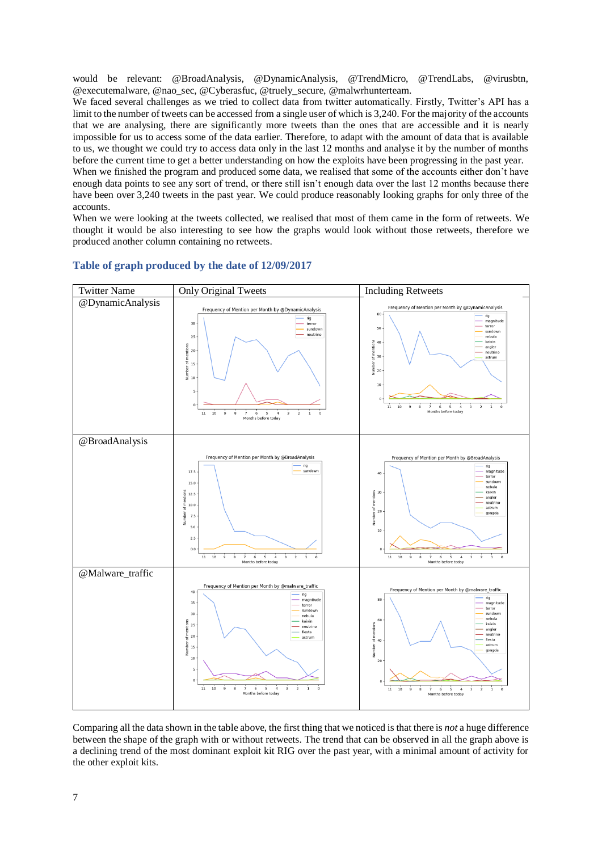would be relevant: @BroadAnalysis, @DynamicAnalysis, @TrendMicro, @TrendLabs, @virusbtn, @executemalware, @nao\_sec, @Cyberasfuc, @truely\_secure, @malwrhunterteam.

We faced several challenges as we tried to collect data from twitter automatically. Firstly, Twitter's API has a limit to the number of tweets can be accessed from a single user of which is 3,240. For the majority of the accounts that we are analysing, there are significantly more tweets than the ones that are accessible and it is nearly impossible for us to access some of the data earlier. Therefore, to adapt with the amount of data that is available to us, we thought we could try to access data only in the last 12 months and analyse it by the number of months before the current time to get a better understanding on how the exploits have been progressing in the past year.

When we finished the program and produced some data, we realised that some of the accounts either don't have enough data points to see any sort of trend, or there still isn't enough data over the last 12 months because there have been over 3,240 tweets in the past year. We could produce reasonably looking graphs for only three of the accounts.

When we were looking at the tweets collected, we realised that most of them came in the form of retweets. We thought it would be also interesting to see how the graphs would look without those retweets, therefore we produced another column containing no retweets.



## **Table of graph produced by the date of 12/09/2017**

Comparing all the data shown in the table above, the first thing that we noticed is that there is *not* a huge difference between the shape of the graph with or without retweets. The trend that can be observed in all the graph above is a declining trend of the most dominant exploit kit RIG over the past year, with a minimal amount of activity for the other exploit kits.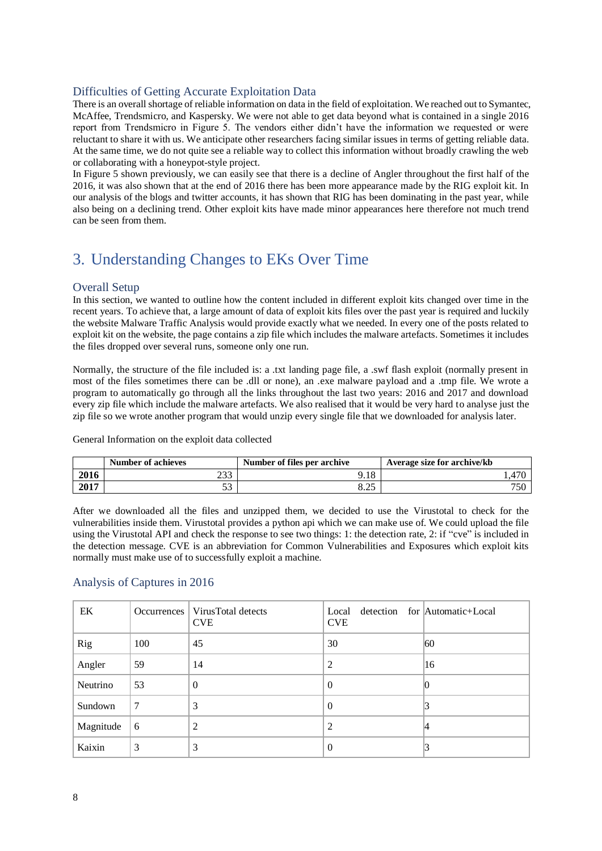# Difficulties of Getting Accurate Exploitation Data

There is an overall shortage of reliable information on data in the field of exploitation. We reached out to Symantec, McAffee, Trendsmicro, and Kaspersky. We were not able to get data beyond what is contained in a single 2016 report from Trendsmicro in Figure 5. The vendors either didn't have the information we requested or were reluctant to share it with us. We anticipate other researchers facing similar issues in terms of getting reliable data. At the same time, we do not quite see a reliable way to collect this information without broadly crawling the web or collaborating with a honeypot-style project.

In Figure 5 shown previously, we can easily see that there is a decline of Angler throughout the first half of the 2016, it was also shown that at the end of 2016 there has been more appearance made by the RIG exploit kit. In our analysis of the blogs and twitter accounts, it has shown that RIG has been dominating in the past year, while also being on a declining trend. Other exploit kits have made minor appearances here therefore not much trend can be seen from them.

# 3. Understanding Changes to EKs Over Time

# Overall Setup

In this section, we wanted to outline how the content included in different exploit kits changed over time in the recent years. To achieve that, a large amount of data of exploit kits files over the past year is required and luckily the website Malware Traffic Analysis would provide exactly what we needed. In every one of the posts related to exploit kit on the website, the page contains a zip file which includes the malware artefacts. Sometimes it includes the files dropped over several runs, someone only one run.

Normally, the structure of the file included is: a .txt landing page file, a .swf flash exploit (normally present in most of the files sometimes there can be .dll or none), an .exe malware payload and a .tmp file. We wrote a program to automatically go through all the links throughout the last two years: 2016 and 2017 and download every zip file which include the malware artefacts. We also realised that it would be very hard to analyse just the zip file so we wrote another program that would unzip every single file that we downloaded for analysis later.

General Information on the exploit data collected

|      | Number of achieves | Number of files per archive | Average size for archive/kb |
|------|--------------------|-----------------------------|-----------------------------|
| 2016 | ววว<br>293         | .18                         |                             |
| 2017 | ັ                  | $\bigcap$<br>ن که د         | 750                         |

After we downloaded all the files and unzipped them, we decided to use the Virustotal to check for the vulnerabilities inside them. Virustotal provides a python api which we can make use of. We could upload the file using the Virustotal API and check the response to see two things: 1: the detection rate, 2: if "cve" is included in the detection message. CVE is an abbreviation for Common Vulnerabilities and Exposures which exploit kits normally must make use of to successfully exploit a machine.

# Analysis of Captures in 2016

| EK        |     | Occurrences   VirusTotal detects<br><b>CVE</b> | Local<br><b>CVE</b> | detection for Automatic+Local |
|-----------|-----|------------------------------------------------|---------------------|-------------------------------|
| Rig       | 100 | 45                                             | 30                  | 60                            |
| Angler    | 59  | 14                                             | 2                   | 16                            |
| Neutrino  | 53  | $\Omega$                                       | $\theta$            |                               |
| Sundown   | 7   | 3                                              | $\Omega$            |                               |
| Magnitude | 6   | $\overline{2}$                                 | 2                   |                               |
| Kaixin    | 3   | 3                                              | $\theta$            |                               |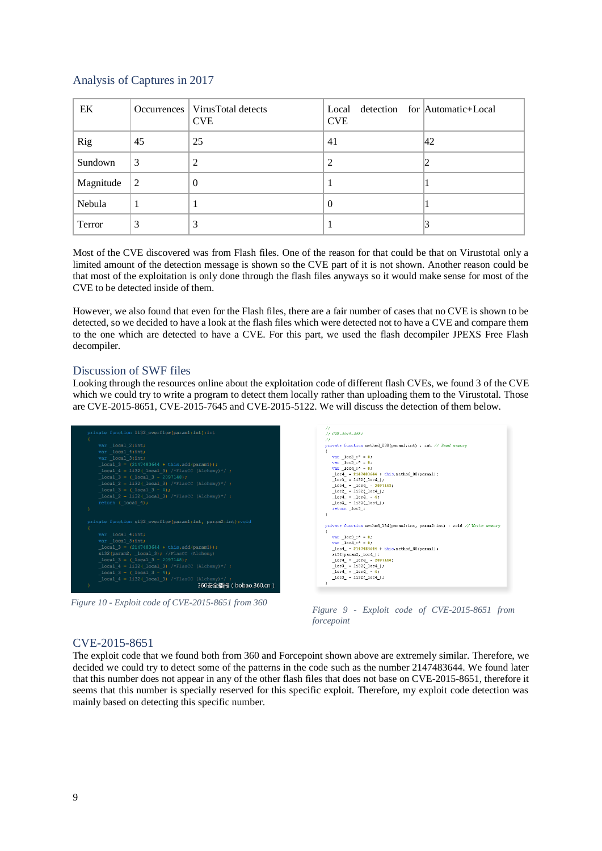# Analysis of Captures in 2017

| EK        |                 | Occurrences   VirusTotal detects<br><b>CVE</b> | Local detection for Automatic+Local<br><b>CVE</b> |     |
|-----------|-----------------|------------------------------------------------|---------------------------------------------------|-----|
| Rig       | 45              | 25                                             | 41                                                | 142 |
| Sundown   | 3               | 2                                              | 2                                                 | ▵   |
| Magnitude | $\vert 2 \vert$ | $\theta$                                       |                                                   |     |
| Nebula    |                 |                                                | $\theta$                                          |     |
| Terror    | 3               | 3                                              |                                                   |     |

Most of the CVE discovered was from Flash files. One of the reason for that could be that on Virustotal only a limited amount of the detection message is shown so the CVE part of it is not shown. Another reason could be that most of the exploitation is only done through the flash files anyways so it would make sense for most of the CVE to be detected inside of them.

However, we also found that even for the Flash files, there are a fair number of cases that no CVE is shown to be detected, so we decided to have a look at the flash files which were detected not to have a CVE and compare them to the one which are detected to have a CVE. For this part, we used the flash decompiler JPEXS Free Flash decompiler.

## Discussion of SWF files

Looking through the resources online about the exploitation code of different flash CVEs, we found 3 of the CVE which we could try to write a program to detect them locally rather than uploading them to the Virustotal. Those are CVE-2015-8651, CVE-2015-7645 and CVE-2015-5122. We will discuss the detection of them below.



*Figure 10 - Exploit code of CVE-2015-8651 from 360*

| .                                                                          |
|----------------------------------------------------------------------------|
| $11$ CVE-2015-8651                                                         |
| 11                                                                         |
| private function method 238(paraml:int) : int // Read memory               |
| ₹                                                                          |
| var $10C2 : 7 = 0$ .                                                       |
| $var \space loc3 : 7 = 0.$                                                 |
| $var \space loc4 : 7 = 0.$                                                 |
| $10c4 = 2147483644 + this.$ method 80 (paraml);                            |
| $\lfloor \log 3 \rfloor = 1132 (\lfloor \log 4 \rfloor)$ ;                 |
| $loc4 = loc4 - 2097148$ ;                                                  |
| $10c2 = 1132(10c4);$                                                       |
| $10c4 = 10c4 - 4$                                                          |
| $10c2 = 1132(10c4);$                                                       |
| return loc3 ;                                                              |
| ١                                                                          |
|                                                                            |
| private function method 134(paraml:int, param2:int) : void // Write memory |
| ₹                                                                          |
| var $10c3 : 7 = 0$ .                                                       |
| var $10c4$ : $\bar{ }$ = 0.                                                |
| $10c4 = 2147483644 + this method 80(param1);$                              |
| si32(param2, loc4 );                                                       |
| $loc4 = loc4 - 2097148$ ;                                                  |
| $10c3 = 1132(10c4);$                                                       |
| $10c4 = 10c4 - 4$                                                          |
| $10c3 = 1132( 10c4);$                                                      |
| ١                                                                          |
|                                                                            |

*Figure 9 - Exploit code of CVE-2015-8651 from forcepoint*

## CVE-2015-8651

The exploit code that we found both from 360 and Forcepoint shown above are extremely similar. Therefore, we decided we could try to detect some of the patterns in the code such as the number 2147483644. We found later that this number does not appear in any of the other flash files that does not base on CVE-2015-8651, therefore it seems that this number is specially reserved for this specific exploit. Therefore, my exploit code detection was mainly based on detecting this specific number.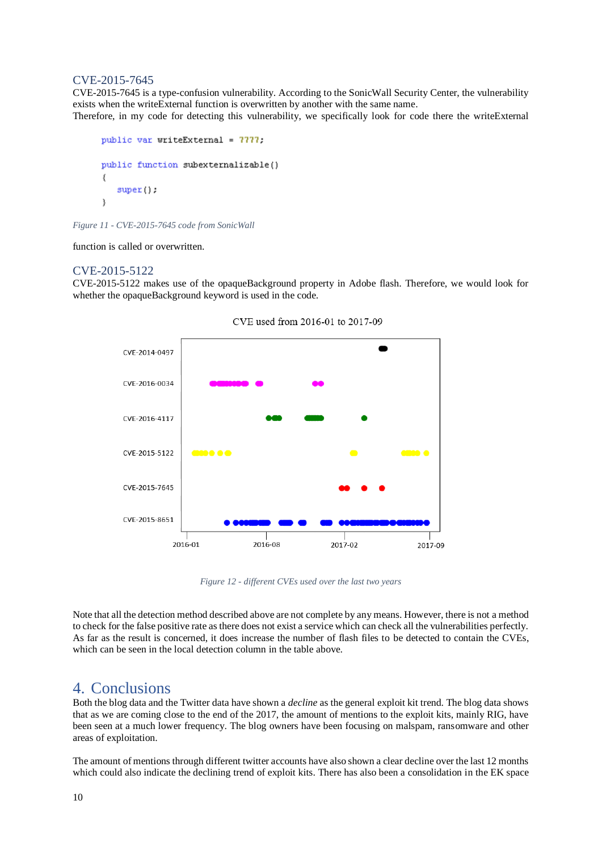## CVE-2015-7645

CVE-2015-7645 is a type-confusion vulnerability. According to the SonicWall Security Center, the vulnerability exists when the writeExternal function is overwritten by another with the same name. Therefore, in my code for detecting this vulnerability, we specifically look for code there the writeExternal

```
public var writeExternal = 7777;
public function subexternalizable()
ţ
   super();
Ŋ
```
*Figure 11 - CVE-2015-7645 code from SonicWall*

function is called or overwritten.

## CVE-2015-5122

CVE-2015-5122 makes use of the opaqueBackground property in Adobe flash. Therefore, we would look for whether the opaqueBackground keyword is used in the code.



CVE used from 2016-01 to 2017-09

*Figure 12 - different CVEs used over the last two years*

Note that all the detection method described above are not complete by any means. However, there is not a method to check for the false positive rate as there does not exist a service which can check all the vulnerabilities perfectly. As far as the result is concerned, it does increase the number of flash files to be detected to contain the CVEs, which can be seen in the local detection column in the table above.

# 4. Conclusions

Both the blog data and the Twitter data have shown a *decline* as the general exploit kit trend. The blog data shows that as we are coming close to the end of the 2017, the amount of mentions to the exploit kits, mainly RIG, have been seen at a much lower frequency. The blog owners have been focusing on malspam, ransomware and other areas of exploitation.

The amount of mentions through different twitter accounts have also shown a clear decline over the last 12 months which could also indicate the declining trend of exploit kits. There has also been a consolidation in the EK space